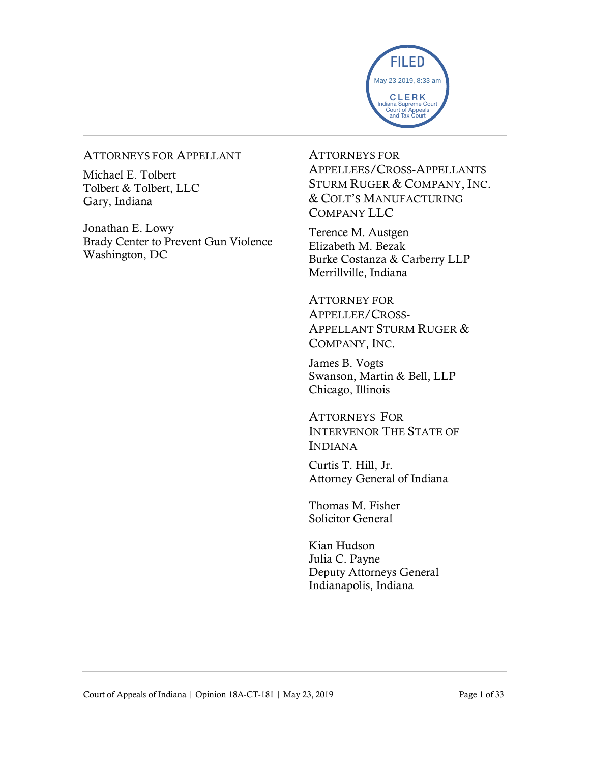

#### ATTORNEYS FOR APPELLANT

Michael E. Tolbert Tolbert & Tolbert, LLC Gary, Indiana

Jonathan E. Lowy Brady Center to Prevent Gun Violence Washington, DC

ATTORNEYS FOR APPELLEES/CROSS-APPELLANTS STURM RUGER & COMPANY, INC. & COLT'S MANUFACTURING COMPANY LLC

Terence M. Austgen Elizabeth M. Bezak Burke Costanza & Carberry LLP Merrillville, Indiana

ATTORNEY FOR APPELLEE/CROSS-APPELLANT STURM RUGER & COMPANY, INC.

James B. Vogts Swanson, Martin & Bell, LLP Chicago, Illinois

ATTORNEYS FOR INTERVENOR THE STATE OF INDIANA

Curtis T. Hill, Jr. Attorney General of Indiana

Thomas M. Fisher Solicitor General

Kian Hudson Julia C. Payne Deputy Attorneys General Indianapolis, Indiana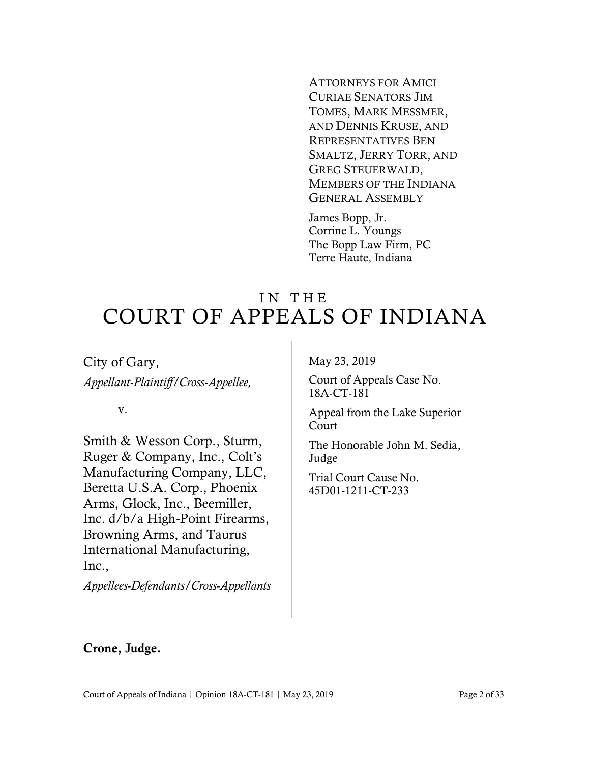ATTORNEYS FOR AMICI CURIAE SENATORS JIM TOMES, MARK MESSMER, AND DENNIS KRUSE, AND REPRESENTATIVES BEN SMALTZ, JERRY TORR, AND GREG STEUERWALD, MEMBERS OF THE INDIANA GENERAL ASSEMBLY

James Bopp, Jr. Corrine L. Youngs The Bopp Law Firm, PC Terre Haute, Indiana

# IN THE COURT OF APPEALS OF INDIANA

City of Gary, *Appellant-Plaintiff/Cross-Appellee,*

v.

Smith & Wesson Corp., Sturm, Ruger & Company, Inc., Colt's Manufacturing Company, LLC, Beretta U.S.A. Corp., Phoenix Arms, Glock, Inc., Beemiller, Inc. d/b/a High-Point Firearms, Browning Arms, and Taurus International Manufacturing, Inc.,

*Appellees-Defendants/Cross-Appellants*

May 23, 2019

Court of Appeals Case No. 18A-CT-181

Appeal from the Lake Superior Court

The Honorable John M. Sedia, Judge

Trial Court Cause No. 45D01-1211-CT-233

#### Crone, Judge.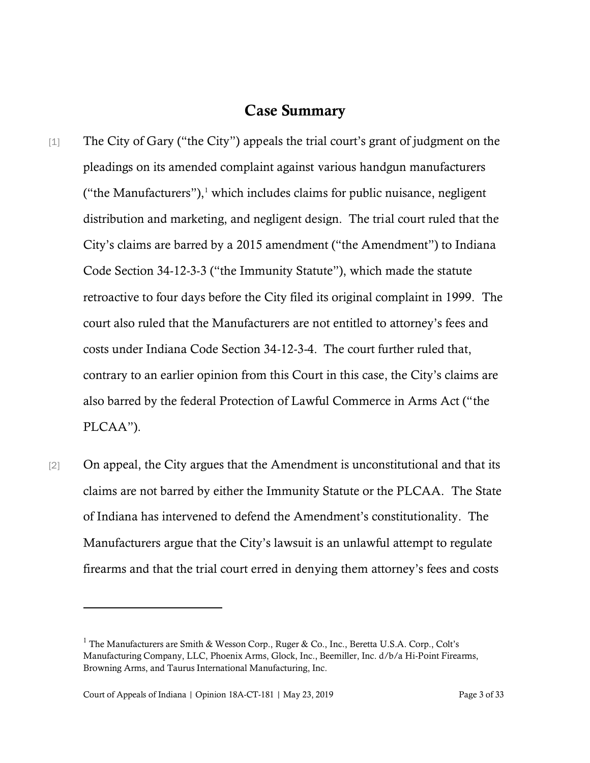#### Case Summary

- [1] The City of Gary ("the City") appeals the trial court's grant of judgment on the pleadings on its amended complaint against various handgun manufacturers ("the Manufacturers"), $\frac{1}{1}$  which includes claims for public nuisance, negligent distribution and marketing, and negligent design. The trial court ruled that the City's claims are barred by a 2015 amendment ("the Amendment") to Indiana Code Section 34-12-3-3 ("the Immunity Statute"), which made the statute retroactive to four days before the City filed its original complaint in 1999. The court also ruled that the Manufacturers are not entitled to attorney's fees and costs under Indiana Code Section 34-12-3-4. The court further ruled that, contrary to an earlier opinion from this Court in this case, the City's claims are also barred by the federal Protection of Lawful Commerce in Arms Act ("the PLCAA").
- [2] On appeal, the City argues that the Amendment is unconstitutional and that its claims are not barred by either the Immunity Statute or the PLCAA. The State of Indiana has intervened to defend the Amendment's constitutionality. The Manufacturers argue that the City's lawsuit is an unlawful attempt to regulate firearms and that the trial court erred in denying them attorney's fees and costs

 $1$  The Manufacturers are Smith & Wesson Corp., Ruger & Co., Inc., Beretta U.S.A. Corp., Colt's Manufacturing Company, LLC, Phoenix Arms, Glock, Inc., Beemiller, Inc. d/b/a Hi-Point Firearms, Browning Arms, and Taurus International Manufacturing, Inc.

Court of Appeals of Indiana | Opinion 18A-CT-181 | May 23, 2019 Page 3 of 33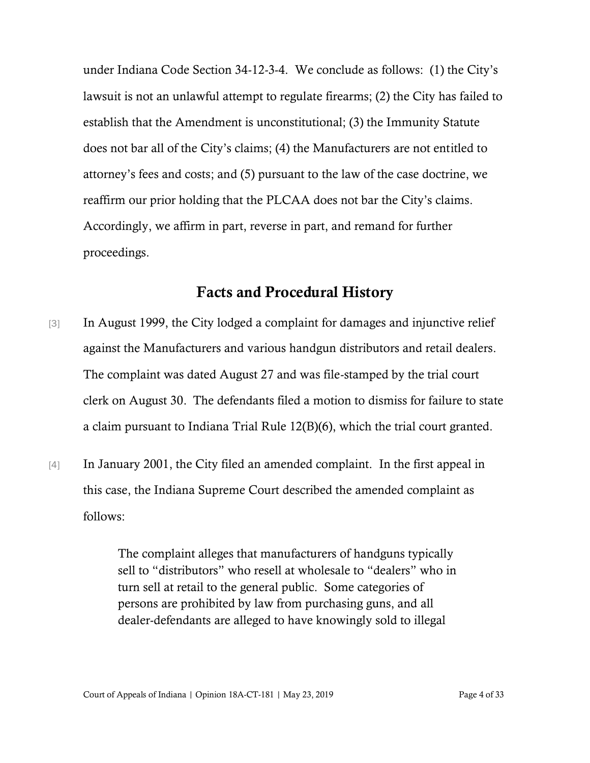under Indiana Code Section 34-12-3-4. We conclude as follows: (1) the City's lawsuit is not an unlawful attempt to regulate firearms; (2) the City has failed to establish that the Amendment is unconstitutional; (3) the Immunity Statute does not bar all of the City's claims; (4) the Manufacturers are not entitled to attorney's fees and costs; and (5) pursuant to the law of the case doctrine, we reaffirm our prior holding that the PLCAA does not bar the City's claims. Accordingly, we affirm in part, reverse in part, and remand for further proceedings.

#### Facts and Procedural History

- [3] In August 1999, the City lodged a complaint for damages and injunctive relief against the Manufacturers and various handgun distributors and retail dealers. The complaint was dated August 27 and was file-stamped by the trial court clerk on August 30. The defendants filed a motion to dismiss for failure to state a claim pursuant to Indiana Trial Rule 12(B)(6), which the trial court granted.
- [4] In January 2001, the City filed an amended complaint. In the first appeal in this case, the Indiana Supreme Court described the amended complaint as follows:

The complaint alleges that manufacturers of handguns typically sell to "distributors" who resell at wholesale to "dealers" who in turn sell at retail to the general public. Some categories of persons are prohibited by law from purchasing guns, and all dealer-defendants are alleged to have knowingly sold to illegal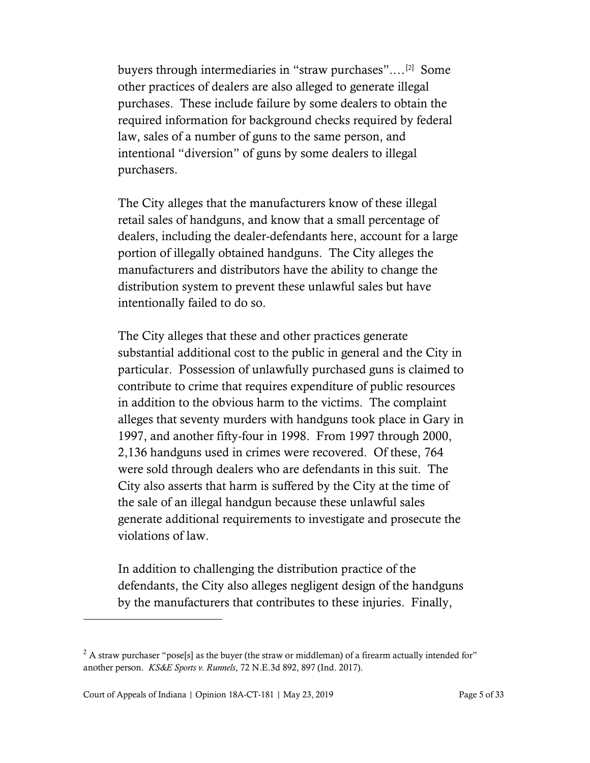buyers through intermediaries in "straw purchases"....<sup>[2]</sup> Some other practices of dealers are also alleged to generate illegal purchases. These include failure by some dealers to obtain the required information for background checks required by federal law, sales of a number of guns to the same person, and intentional "diversion" of guns by some dealers to illegal purchasers.

The City alleges that the manufacturers know of these illegal retail sales of handguns, and know that a small percentage of dealers, including the dealer-defendants here, account for a large portion of illegally obtained handguns. The City alleges the manufacturers and distributors have the ability to change the distribution system to prevent these unlawful sales but have intentionally failed to do so.

The City alleges that these and other practices generate substantial additional cost to the public in general and the City in particular. Possession of unlawfully purchased guns is claimed to contribute to crime that requires expenditure of public resources in addition to the obvious harm to the victims. The complaint alleges that seventy murders with handguns took place in Gary in 1997, and another fifty-four in 1998. From 1997 through 2000, 2,136 handguns used in crimes were recovered. Of these, 764 were sold through dealers who are defendants in this suit. The City also asserts that harm is suffered by the City at the time of the sale of an illegal handgun because these unlawful sales generate additional requirements to investigate and prosecute the violations of law.

In addition to challenging the distribution practice of the defendants, the City also alleges negligent design of the handguns by the manufacturers that contributes to these injuries. Finally,

<sup>&</sup>lt;sup>2</sup> A straw purchaser "pose[s] as the buyer (the straw or middleman) of a firearm actually intended for" another person. *KS&E Sports v. Runnels*, 72 N.E.3d 892, 897 (Ind. 2017).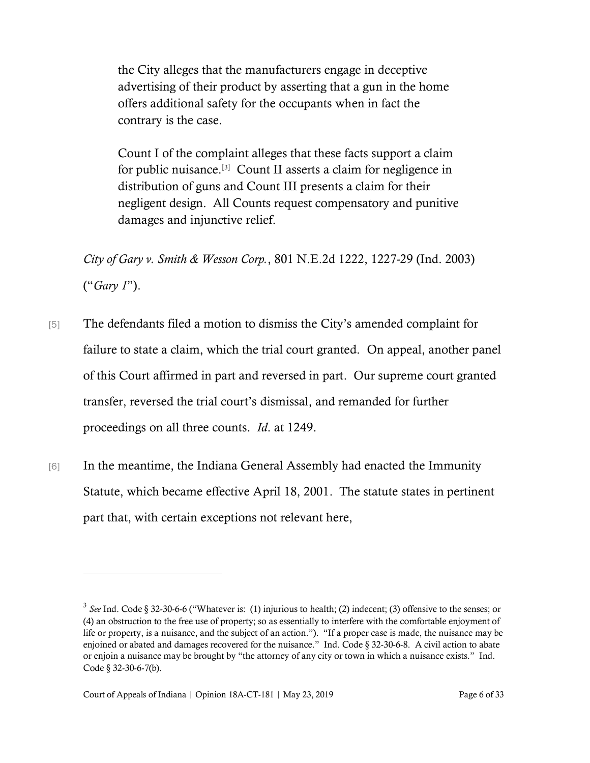the City alleges that the manufacturers engage in deceptive advertising of their product by asserting that a gun in the home offers additional safety for the occupants when in fact the contrary is the case.

Count I of the complaint alleges that these facts support a claim for public nuisance.<sup>[3]</sup> Count II asserts a claim for negligence in distribution of guns and Count III presents a claim for their negligent design. All Counts request compensatory and punitive damages and injunctive relief.

*City of Gary v. Smith & Wesson Corp.*, 801 N.E.2d 1222, 1227-29 (Ind. 2003) ("*Gary 1*").

- [5] The defendants filed a motion to dismiss the City's amended complaint for failure to state a claim, which the trial court granted. On appeal, another panel of this Court affirmed in part and reversed in part. Our supreme court granted transfer, reversed the trial court's dismissal, and remanded for further proceedings on all three counts. *Id*. at 1249.
- [6] In the meantime, the Indiana General Assembly had enacted the Immunity Statute, which became effective April 18, 2001. The statute states in pertinent part that, with certain exceptions not relevant here,

<sup>3</sup> *See* Ind. Code § 32-30-6-6 ("Whatever is: (1) injurious to health; (2) indecent; (3) offensive to the senses; or (4) an obstruction to the free use of property; so as essentially to interfere with the comfortable enjoyment of life or property, is a nuisance, and the subject of an action."). "If a proper case is made, the nuisance may be enjoined or abated and damages recovered for the nuisance." Ind. Code § 32-30-6-8. A civil action to abate or enjoin a nuisance may be brought by "the attorney of any city or town in which a nuisance exists." Ind. Code § 32-30-6-7(b).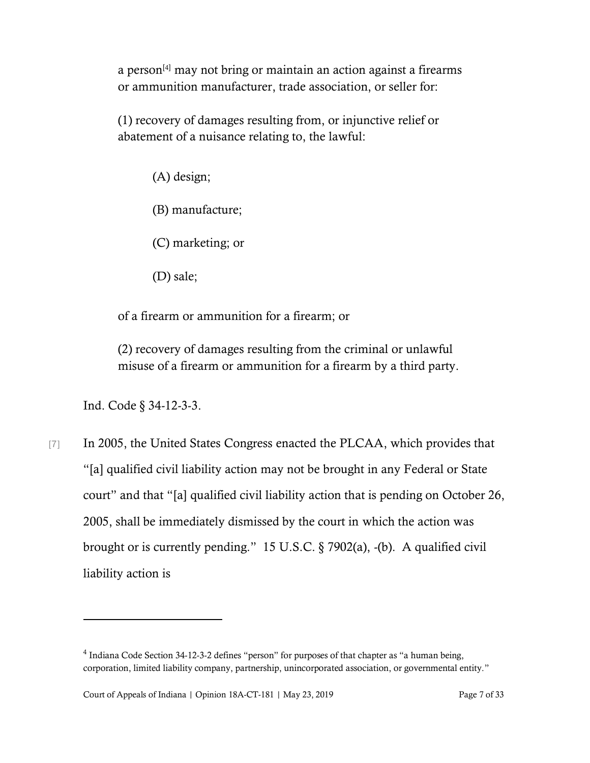a person $^{[4]}$  may not bring or maintain an action against a firearms or ammunition manufacturer, trade association, or seller for:

(1) recovery of damages resulting from, or injunctive relief or abatement of a nuisance relating to, the lawful:

(A) design;

(B) manufacture;

(C) marketing; or

(D) sale;

of a firearm or ammunition for a firearm; or

(2) recovery of damages resulting from the criminal or unlawful misuse of a firearm or ammunition for a firearm by a third party.

Ind. Code § 34-12-3-3.

[7] In 2005, the United States Congress enacted the PLCAA, which provides that "[a] qualified civil liability action may not be brought in any Federal or State court" and that "[a] qualified civil liability action that is pending on October 26, 2005, shall be immediately dismissed by the court in which the action was brought or is currently pending." 15 U.S.C. § 7902(a), -(b). A qualified civil liability action is

 $<sup>4</sup>$  Indiana Code Section 34-12-3-2 defines "person" for purposes of that chapter as "a human being,</sup> corporation, limited liability company, partnership, unincorporated association, or governmental entity."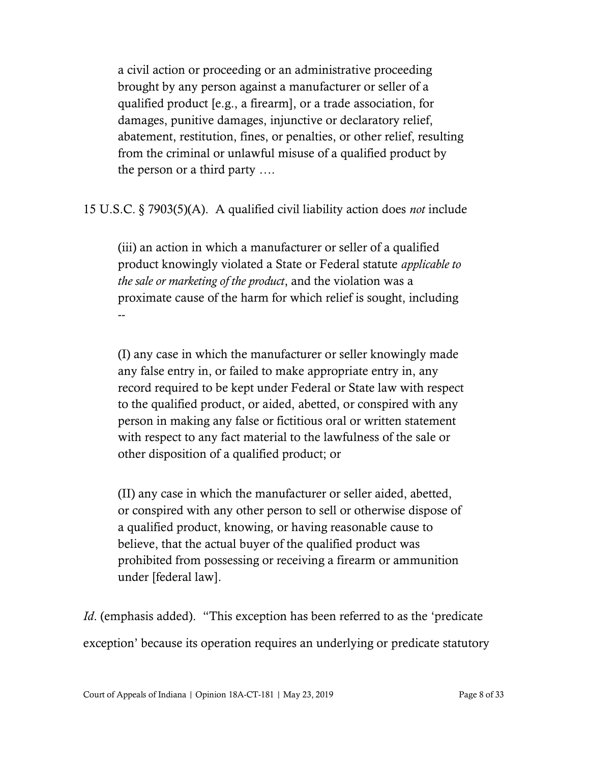a civil action or proceeding or an administrative proceeding brought by any person against a manufacturer or seller of a qualified product [e.g., a firearm], or a trade association, for damages, punitive damages, injunctive or declaratory relief, abatement, restitution, fines, or penalties, or other relief, resulting from the criminal or unlawful misuse of a qualified product by the person or a third party ….

15 U.S.C. § 7903(5)(A). A qualified civil liability action does *not* include

(iii) an action in which a manufacturer or seller of a qualified product knowingly violated a State or Federal statute *applicable to the sale or marketing of the product*, and the violation was a proximate cause of the harm for which relief is sought, including --

(I) any case in which the manufacturer or seller knowingly made any false entry in, or failed to make appropriate entry in, any record required to be kept under Federal or State law with respect to the qualified product, or aided, abetted, or conspired with any person in making any false or fictitious oral or written statement with respect to any fact material to the lawfulness of the sale or other disposition of a qualified product; or

(II) any case in which the manufacturer or seller aided, abetted, or conspired with any other person to sell or otherwise dispose of a qualified product, knowing, or having reasonable cause to believe, that the actual buyer of the qualified product was prohibited from possessing or receiving a firearm or ammunition under [federal law].

*Id.* (emphasis added). "This exception has been referred to as the 'predicate' exception' because its operation requires an underlying or predicate statutory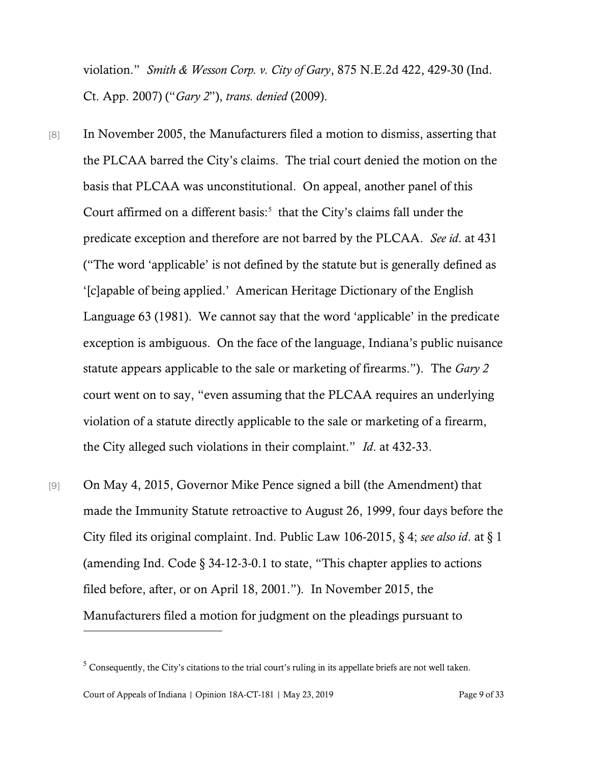violation." *Smith & Wesson Corp. v. City of Gary*, 875 N.E.2d 422, 429-30 (Ind. Ct. App. 2007) ("*Gary 2*"), *trans. denied* (2009).

- [8] In November 2005, the Manufacturers filed a motion to dismiss, asserting that the PLCAA barred the City's claims. The trial court denied the motion on the basis that PLCAA was unconstitutional. On appeal, another panel of this Court affirmed on a different basis: $5$  that the City's claims fall under the predicate exception and therefore are not barred by the PLCAA. *See id*. at 431 ("The word 'applicable' is not defined by the statute but is generally defined as '[c]apable of being applied.' American Heritage Dictionary of the English Language 63 (1981). We cannot say that the word 'applicable' in the predicate exception is ambiguous. On the face of the language, Indiana's public nuisance statute appears applicable to the sale or marketing of firearms."). The *Gary 2* court went on to say, "even assuming that the PLCAA requires an underlying violation of a statute directly applicable to the sale or marketing of a firearm, the City alleged such violations in their complaint." *Id*. at 432-33.
- [9] On May 4, 2015, Governor Mike Pence signed a bill (the Amendment) that made the Immunity Statute retroactive to August 26, 1999, four days before the City filed its original complaint. Ind. Public Law 106-2015, § 4; *see also id*. at § 1 (amending Ind. Code  $\S$  34-12-3-0.1 to state, "This chapter applies to actions filed before, after, or on April 18, 2001."). In November 2015, the Manufacturers filed a motion for judgment on the pleadings pursuant to

<sup>&</sup>lt;sup>5</sup> Consequently, the City's citations to the trial court's ruling in its appellate briefs are not well taken.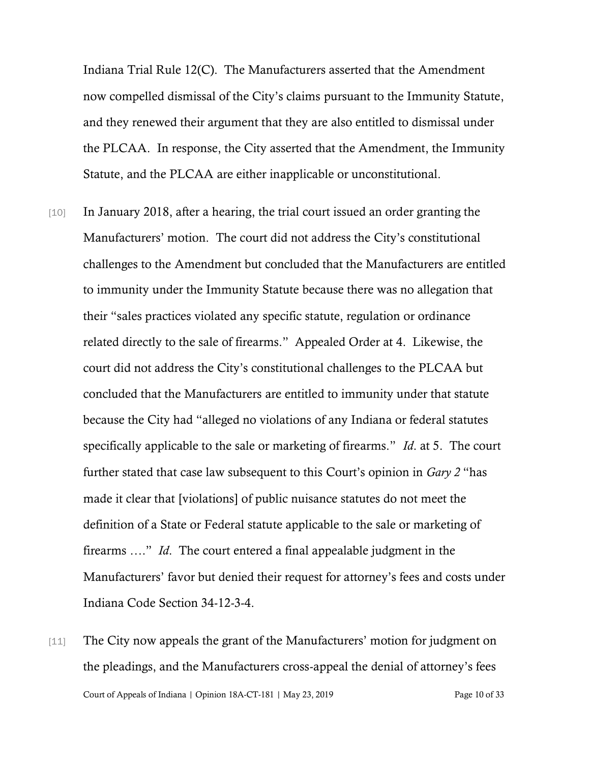Indiana Trial Rule 12(C). The Manufacturers asserted that the Amendment now compelled dismissal of the City's claims pursuant to the Immunity Statute, and they renewed their argument that they are also entitled to dismissal under the PLCAA. In response, the City asserted that the Amendment, the Immunity Statute, and the PLCAA are either inapplicable or unconstitutional.

- [10] In January 2018, after a hearing, the trial court issued an order granting the Manufacturers' motion. The court did not address the City's constitutional challenges to the Amendment but concluded that the Manufacturers are entitled to immunity under the Immunity Statute because there was no allegation that their "sales practices violated any specific statute, regulation or ordinance related directly to the sale of firearms." Appealed Order at 4. Likewise, the court did not address the City's constitutional challenges to the PLCAA but concluded that the Manufacturers are entitled to immunity under that statute because the City had "alleged no violations of any Indiana or federal statutes specifically applicable to the sale or marketing of firearms." *Id*. at 5. The court further stated that case law subsequent to this Court's opinion in *Gary 2* "has made it clear that [violations] of public nuisance statutes do not meet the definition of a State or Federal statute applicable to the sale or marketing of firearms …." *Id*. The court entered a final appealable judgment in the Manufacturers' favor but denied their request for attorney's fees and costs under Indiana Code Section 34-12-3-4.
- Court of Appeals of Indiana | Opinion 18A-CT-181 | May 23, 2019 Page 10 of 33 [11] The City now appeals the grant of the Manufacturers' motion for judgment on the pleadings, and the Manufacturers cross-appeal the denial of attorney's fees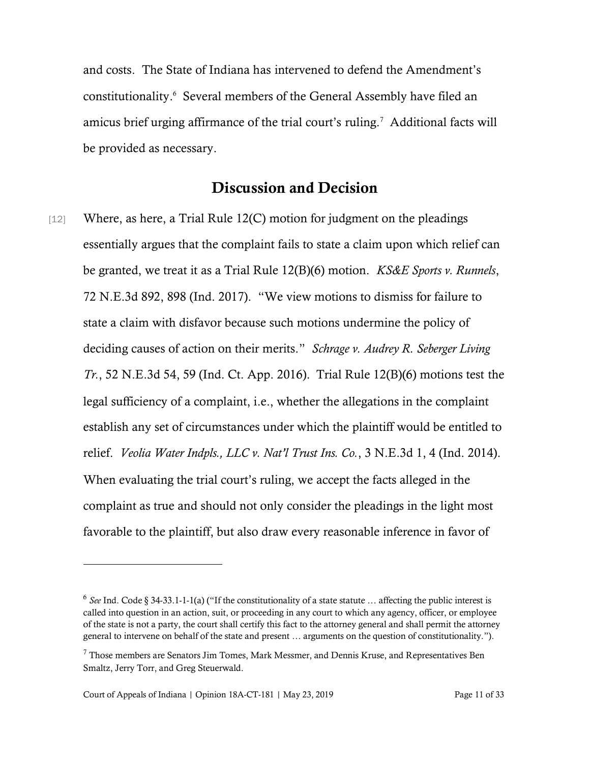and costs. The State of Indiana has intervened to defend the Amendment's constitutionality. 6 Several members of the General Assembly have filed an amicus brief urging affirmance of the trial court's ruling.<sup>7</sup> Additional facts will be provided as necessary.

#### Discussion and Decision

[12] Where, as here, a Trial Rule 12(C) motion for judgment on the pleadings essentially argues that the complaint fails to state a claim upon which relief can be granted, we treat it as a Trial Rule 12(B)(6) motion. *KS&E Sports v. Runnels*, 72 N.E.3d 892, 898 (Ind. 2017). "We view motions to dismiss for failure to state a claim with disfavor because such motions undermine the policy of deciding causes of action on their merits." *Schrage v. Audrey R. Seberger Living Tr.*, 52 N.E.3d 54, 59 (Ind. Ct. App. 2016). Trial Rule 12(B)(6) motions test the legal sufficiency of a complaint, i.e., whether the allegations in the complaint establish any set of circumstances under which the plaintiff would be entitled to relief. *Veolia Water Indpls., LLC v. Nat'l Trust Ins. Co.*, 3 N.E.3d 1, 4 (Ind. 2014). When evaluating the trial court's ruling, we accept the facts alleged in the complaint as true and should not only consider the pleadings in the light most favorable to the plaintiff, but also draw every reasonable inference in favor of

l

<sup>&</sup>lt;sup>6</sup> See Ind. Code § 34-33.1-1-1(a) ("If the constitutionality of a state statute ... affecting the public interest is called into question in an action, suit, or proceeding in any court to which any agency, officer, or employee of the state is not a party, the court shall certify this fact to the attorney general and shall permit the attorney general to intervene on behalf of the state and present … arguments on the question of constitutionality.").

 $<sup>7</sup>$  Those members are Senators Jim Tomes, Mark Messmer, and Dennis Kruse, and Representatives Ben</sup> Smaltz, Jerry Torr, and Greg Steuerwald.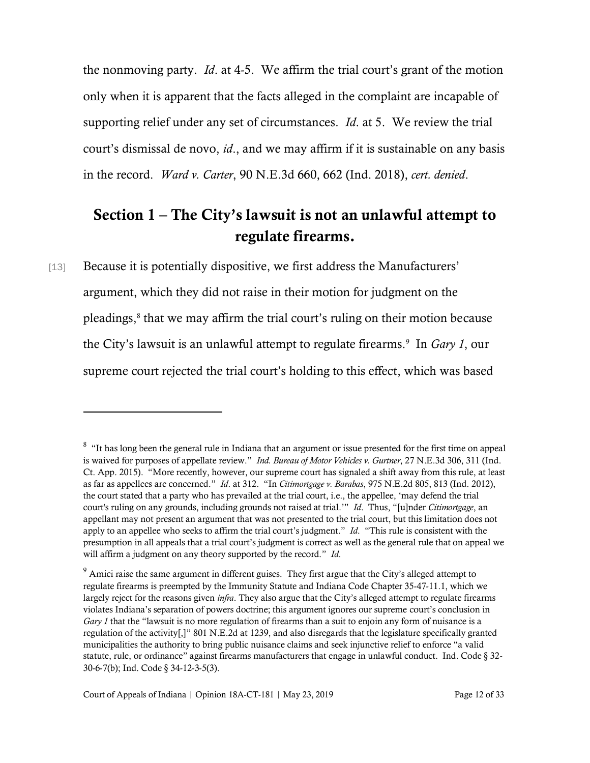the nonmoving party. *Id*. at 4-5. We affirm the trial court's grant of the motion only when it is apparent that the facts alleged in the complaint are incapable of supporting relief under any set of circumstances. *Id*. at 5. We review the trial court's dismissal de novo, *id*., and we may affirm if it is sustainable on any basis in the record. *Ward v. Carter*, 90 N.E.3d 660, 662 (Ind. 2018), *cert. denied*.

### Section 1 – The City's lawsuit is not an unlawful attempt to regulate firearms.

[13] Because it is potentially dispositive, we first address the Manufacturers' argument, which they did not raise in their motion for judgment on the pleadings, 8 that we may affirm the trial court's ruling on their motion because the City's lawsuit is an unlawful attempt to regulate firearms.<sup>9</sup> In *Gary 1*, our supreme court rejected the trial court's holding to this effect, which was based

 $8$  "It has long been the general rule in Indiana that an argument or issue presented for the first time on appeal is waived for purposes of appellate review." *Ind. Bureau of Motor Vehicles v. Gurtner*, 27 N.E.3d 306, 311 (Ind. Ct. App. 2015). "More recently, however, our supreme court has signaled a shift away from this rule, at least as far as appellees are concerned." *Id*. at 312. "In *Citimortgage v. Barabas*, 975 N.E.2d 805, 813 (Ind. 2012), the court stated that a party who has prevailed at the trial court, i.e., the appellee, 'may defend the trial court's ruling on any grounds, including grounds not raised at trial.'" *Id*. Thus, "[u]nder *Citimortgage*, an appellant may not present an argument that was not presented to the trial court, but this limitation does not apply to an appellee who seeks to affirm the trial court's judgment." *Id*. "This rule is consistent with the presumption in all appeals that a trial court's judgment is correct as well as the general rule that on appeal we will affirm a judgment on any theory supported by the record." *Id*.

<sup>&</sup>lt;sup>9</sup> Amici raise the same argument in different guises. They first argue that the City's alleged attempt to regulate firearms is preempted by the Immunity Statute and Indiana Code Chapter 35-47-11.1, which we largely reject for the reasons given *infra*. They also argue that the City's alleged attempt to regulate firearms violates Indiana's separation of powers doctrine; this argument ignores our supreme court's conclusion in *Gary 1* that the "lawsuit is no more regulation of firearms than a suit to enjoin any form of nuisance is a regulation of the activity[,]" 801 N.E.2d at 1239, and also disregards that the legislature specifically granted municipalities the authority to bring public nuisance claims and seek injunctive relief to enforce "a valid statute, rule, or ordinance" against firearms manufacturers that engage in unlawful conduct. Ind. Code § 32- 30-6-7(b); Ind. Code § 34-12-3-5(3).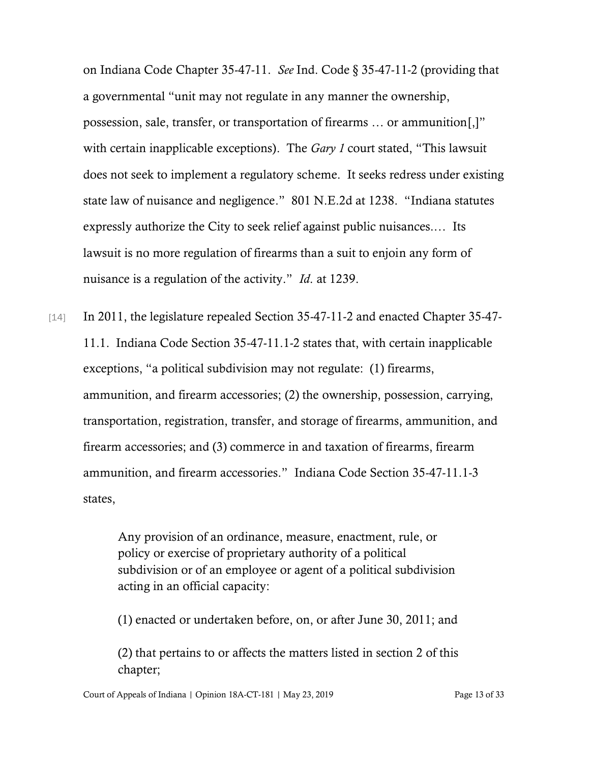on Indiana Code Chapter 35-47-11. *See* Ind. Code § 35-47-11-2 (providing that a governmental "unit may not regulate in any manner the ownership, possession, sale, transfer, or transportation of firearms … or ammunition[,]" with certain inapplicable exceptions). The *Gary 1* court stated, "This lawsuit does not seek to implement a regulatory scheme. It seeks redress under existing state law of nuisance and negligence." 801 N.E.2d at 1238. "Indiana statutes expressly authorize the City to seek relief against public nuisances.… Its lawsuit is no more regulation of firearms than a suit to enjoin any form of nuisance is a regulation of the activity." *Id*. at 1239.

[14] In 2011, the legislature repealed Section 35-47-11-2 and enacted Chapter 35-47-11.1. Indiana Code Section 35-47-11.1-2 states that, with certain inapplicable exceptions, "a political subdivision may not regulate: (1) firearms, ammunition, and firearm accessories; (2) the ownership, possession, carrying, transportation, registration, transfer, and storage of firearms, ammunition, and firearm accessories; and (3) commerce in and taxation of firearms, firearm ammunition, and firearm accessories." Indiana Code Section 35-47-11.1-3 states,

> Any provision of an ordinance, measure, enactment, rule, or policy or exercise of proprietary authority of a political subdivision or of an employee or agent of a political subdivision acting in an official capacity:

> (1) enacted or undertaken before, on, or after June 30, 2011; and

(2) that pertains to or affects the matters listed in section 2 of this chapter;

Court of Appeals of Indiana | Opinion 18A-CT-181 | May 23, 2019 Page 13 of 33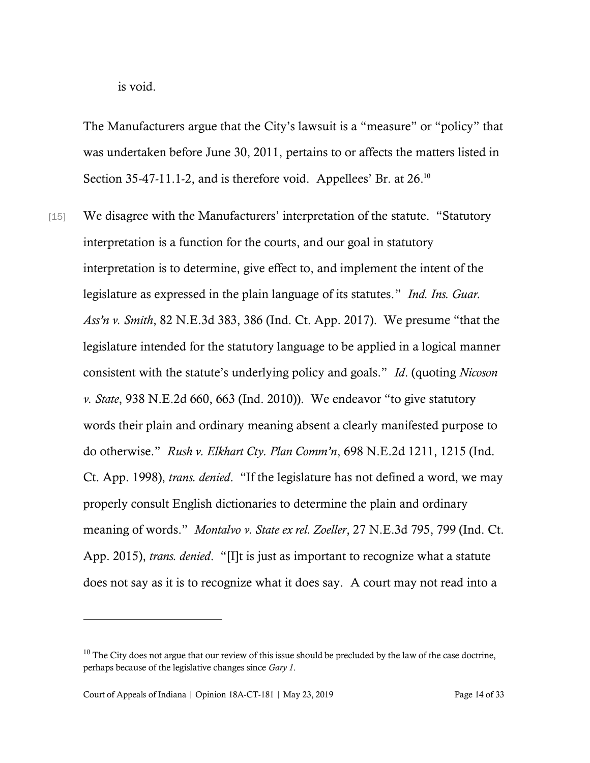is void.

The Manufacturers argue that the City's lawsuit is a "measure" or "policy" that was undertaken before June 30, 2011, pertains to or affects the matters listed in Section 35-47-11.1-2, and is therefore void. Appellees' Br. at 26.<sup>10</sup>

[15] We disagree with the Manufacturers' interpretation of the statute. "Statutory" interpretation is a function for the courts, and our goal in statutory interpretation is to determine, give effect to, and implement the intent of the legislature as expressed in the plain language of its statutes." *Ind. Ins. Guar. Ass'n v. Smith*, 82 N.E.3d 383, 386 (Ind. Ct. App. 2017). We presume "that the legislature intended for the statutory language to be applied in a logical manner consistent with the statute's underlying policy and goals." *Id*. (quoting *Nicoson v. State*, 938 N.E.2d 660, 663 (Ind. 2010)). We endeavor "to give statutory words their plain and ordinary meaning absent a clearly manifested purpose to do otherwise." *Rush v. Elkhart Cty. Plan Comm'n*, 698 N.E.2d 1211, 1215 (Ind. Ct. App. 1998), *trans. denied*. "If the legislature has not defined a word, we may properly consult English dictionaries to determine the plain and ordinary meaning of words." *Montalvo v. State ex rel. Zoeller*, 27 N.E.3d 795, 799 (Ind. Ct. App. 2015), *trans. denied*. "[I]t is just as important to recognize what a statute does not say as it is to recognize what it does say. A court may not read into a

 $10$  The City does not argue that our review of this issue should be precluded by the law of the case doctrine, perhaps because of the legislative changes since *Gary 1*.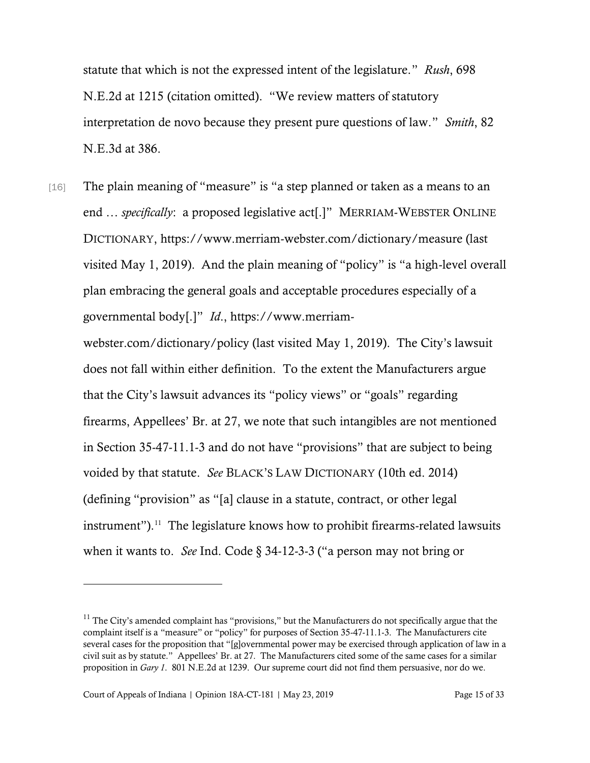statute that which is not the expressed intent of the legislature." *Rush*, 698 N.E.2d at 1215 (citation omitted). "We review matters of statutory interpretation de novo because they present pure questions of law." *Smith*, 82 N.E.3d at 386.

[16] The plain meaning of "measure" is "a step planned or taken as a means to an end … *specifically*: a proposed legislative act[.]" MERRIAM-WEBSTER ONLINE DICTIONARY, https://www.merriam-webster.com/dictionary/measure (last visited May 1, 2019). And the plain meaning of "policy" is "a high-level overall plan embracing the general goals and acceptable procedures especially of a governmental body[.]" *Id*., https://www.merriam-

webster.com/dictionary/policy (last visited May 1, 2019). The City's lawsuit does not fall within either definition. To the extent the Manufacturers argue that the City's lawsuit advances its "policy views" or "goals" regarding firearms, Appellees' Br. at 27, we note that such intangibles are not mentioned in Section 35-47-11.1-3 and do not have "provisions" that are subject to being voided by that statute. *See* BLACK'S LAW DICTIONARY (10th ed. 2014) (defining "provision" as "[a] clause in a statute, contract, or other legal  $instructor$ ").<sup>11</sup> The legislature knows how to prohibit firearms-related lawsuits when it wants to. *See* Ind. Code § 34-12-3-3 ("a person may not bring or

l

 $11$  The City's amended complaint has "provisions," but the Manufacturers do not specifically argue that the complaint itself is a "measure" or "policy" for purposes of Section 35-47-11.1-3. The Manufacturers cite several cases for the proposition that "[g]overnmental power may be exercised through application of law in a civil suit as by statute." Appellees' Br. at 27. The Manufacturers cited some of the same cases for a similar proposition in *Gary 1*. 801 N.E.2d at 1239. Our supreme court did not find them persuasive, nor do we.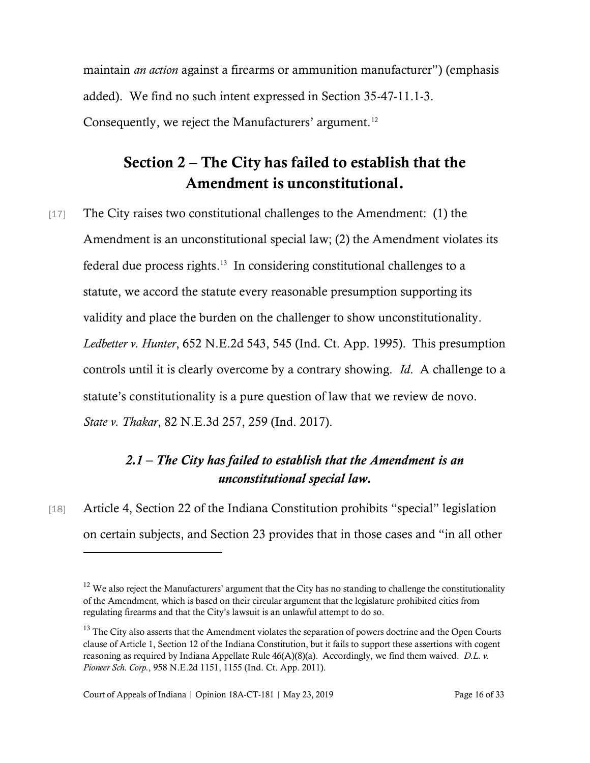maintain *an action* against a firearms or ammunition manufacturer") (emphasis added). We find no such intent expressed in Section 35-47-11.1-3. Consequently, we reject the Manufacturers' argument.<sup>12</sup>

## Section 2 – The City has failed to establish that the Amendment is unconstitutional.

[17] The City raises two constitutional challenges to the Amendment: (1) the Amendment is an unconstitutional special law; (2) the Amendment violates its federal due process rights. 13 In considering constitutional challenges to a statute, we accord the statute every reasonable presumption supporting its validity and place the burden on the challenger to show unconstitutionality. *Ledbetter v. Hunter*, 652 N.E.2d 543, 545 (Ind. Ct. App. 1995). This presumption controls until it is clearly overcome by a contrary showing. *Id*. A challenge to a statute's constitutionality is a pure question of law that we review de novo. *State v. Thakar*, 82 N.E.3d 257, 259 (Ind. 2017).

### *2.1 – The City has failed to establish that the Amendment is an unconstitutional special law.*

[18] Article 4, Section 22 of the Indiana Constitution prohibits "special" legislation on certain subjects, and Section 23 provides that in those cases and "in all other

 $12$  We also reject the Manufacturers' argument that the City has no standing to challenge the constitutionality of the Amendment, which is based on their circular argument that the legislature prohibited cities from regulating firearms and that the City's lawsuit is an unlawful attempt to do so.

<sup>&</sup>lt;sup>13</sup> The City also asserts that the Amendment violates the separation of powers doctrine and the Open Courts clause of Article 1, Section 12 of the Indiana Constitution, but it fails to support these assertions with cogent reasoning as required by Indiana Appellate Rule 46(A)(8)(a). Accordingly, we find them waived. *D.L. v. Pioneer Sch. Corp.*, 958 N.E.2d 1151, 1155 (Ind. Ct. App. 2011).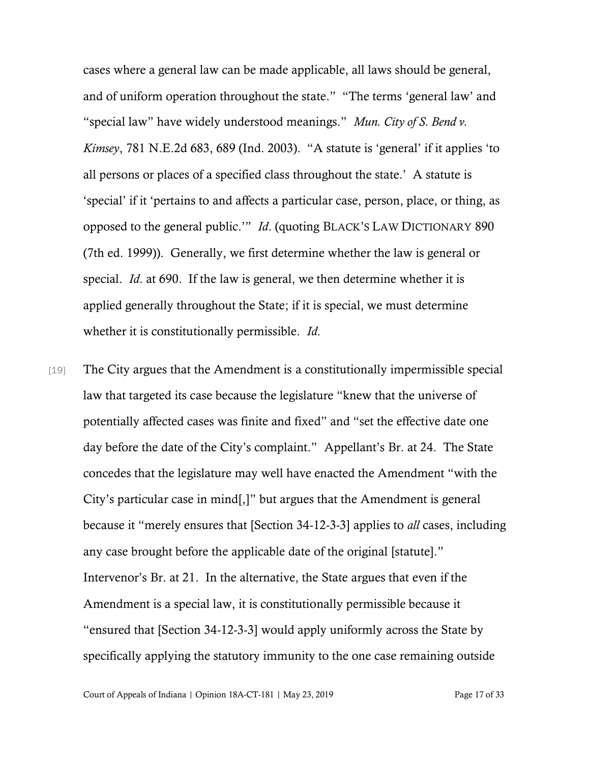cases where a general law can be made applicable, all laws should be general, and of uniform operation throughout the state." "The terms 'general law' and "special law" have widely understood meanings." *Mun. City of S. Bend v. Kimsey*, 781 N.E.2d 683, 689 (Ind. 2003). "A statute is 'general' if it applies 'to all persons or places of a specified class throughout the state.' A statute is 'special' if it 'pertains to and affects a particular case, person, place, or thing, as opposed to the general public.'" *Id*. (quoting BLACK'S LAW DICTIONARY 890 (7th ed. 1999)). Generally, we first determine whether the law is general or special. *Id*. at 690. If the law is general, we then determine whether it is applied generally throughout the State; if it is special, we must determine whether it is constitutionally permissible. *Id*.

[19] The City argues that the Amendment is a constitutionally impermissible special law that targeted its case because the legislature "knew that the universe of potentially affected cases was finite and fixed" and "set the effective date one day before the date of the City's complaint." Appellant's Br. at 24. The State concedes that the legislature may well have enacted the Amendment "with the City's particular case in mind[,]" but argues that the Amendment is general because it "merely ensures that [Section 34-12-3-3] applies to *all* cases, including any case brought before the applicable date of the original [statute]." Intervenor's Br. at 21. In the alternative, the State argues that even if the Amendment is a special law, it is constitutionally permissible because it "ensured that [Section 34-12-3-3] would apply uniformly across the State by specifically applying the statutory immunity to the one case remaining outside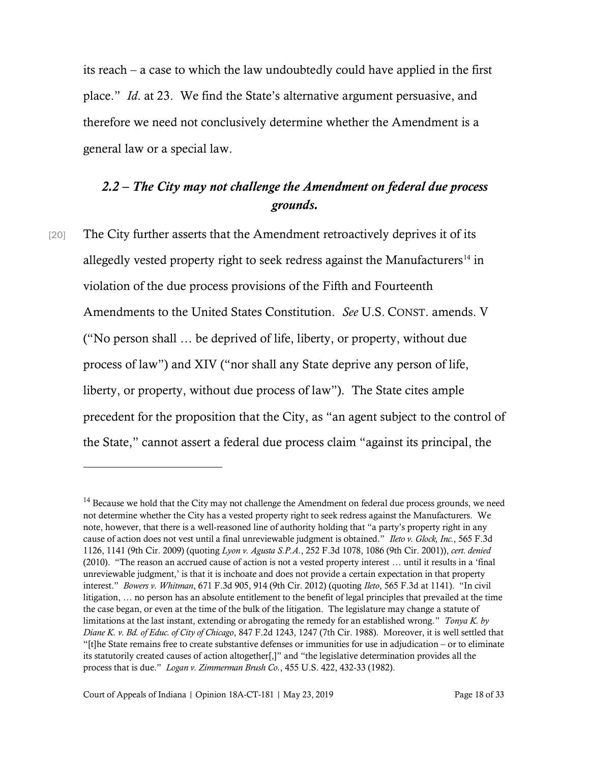its reach – a case to which the law undoubtedly could have applied in the first place." *Id*. at 23. We find the State's alternative argument persuasive, and therefore we need not conclusively determine whether the Amendment is a general law or a special law.

#### *2.2 – The City may not challenge the Amendment on federal due process grounds.*

[20] The City further asserts that the Amendment retroactively deprives it of its allegedly vested property right to seek redress against the Manufacturers<sup>14</sup> in violation of the due process provisions of the Fifth and Fourteenth Amendments to the United States Constitution. *See* U.S. CONST. amends. V ("No person shall … be deprived of life, liberty, or property, without due process of law") and XIV ("nor shall any State deprive any person of life, liberty, or property, without due process of law"). The State cites ample precedent for the proposition that the City, as "an agent subject to the control of the State," cannot assert a federal due process claim "against its principal, the

l

<sup>&</sup>lt;sup>14</sup> Because we hold that the City may not challenge the Amendment on federal due process grounds, we need not determine whether the City has a vested property right to seek redress against the Manufacturers. We note, however, that there is a well-reasoned line of authority holding that "a party's property right in any cause of action does not vest until a final unreviewable judgment is obtained." *Ileto v. Glock, Inc.*, 565 F.3d 1126, 1141 (9th Cir. 2009) (quoting *Lyon v. Agusta S.P.A.*, 252 F.3d 1078, 1086 (9th Cir. 2001)), *cert. denied* (2010). "The reason an accrued cause of action is not a vested property interest … until it results in a 'final unreviewable judgment,' is that it is inchoate and does not provide a certain expectation in that property interest." *Bowers v. Whitman*, 671 F.3d 905, 914 (9th Cir. 2012) (quoting *Ileto*, 565 F.3d at 1141). "In civil litigation, … no person has an absolute entitlement to the benefit of legal principles that prevailed at the time the case began, or even at the time of the bulk of the litigation. The legislature may change a statute of limitations at the last instant, extending or abrogating the remedy for an established wrong." *Tonya K. by Diane K. v. Bd. of Educ. of City of Chicago*, 847 F.2d 1243, 1247 (7th Cir. 1988). Moreover, it is well settled that "[t]he State remains free to create substantive defenses or immunities for use in adjudication – or to eliminate its statutorily created causes of action altogether[,]" and "the legislative determination provides all the process that is due." *Logan v. Zimmerman Brush Co.*, 455 U.S. 422, 432-33 (1982).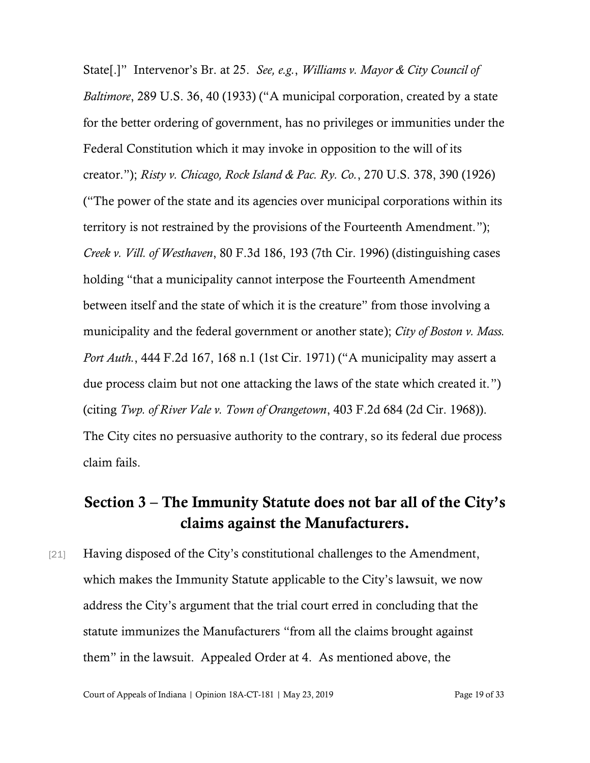State[.]" Intervenor's Br. at 25. *See, e.g.*, *Williams v. Mayor & City Council of Baltimore*, 289 U.S. 36, 40 (1933) ("A municipal corporation, created by a state for the better ordering of government, has no privileges or immunities under the Federal Constitution which it may invoke in opposition to the will of its creator."); *Risty v. Chicago, Rock Island & Pac. Ry. Co.*, 270 U.S. 378, 390 (1926) ("The power of the state and its agencies over municipal corporations within its territory is not restrained by the provisions of the Fourteenth Amendment."); *Creek v. Vill. of Westhaven*, 80 F.3d 186, 193 (7th Cir. 1996) (distinguishing cases holding "that a municipality cannot interpose the Fourteenth Amendment between itself and the state of which it is the creature" from those involving a municipality and the federal government or another state); *City of Boston v. Mass. Port Auth.*, 444 F.2d 167, 168 n.1 (1st Cir. 1971) ("A municipality may assert a due process claim but not one attacking the laws of the state which created it.") (citing *Twp. of River Vale v. Town of Orangetown*, 403 F.2d 684 (2d Cir. 1968)). The City cites no persuasive authority to the contrary, so its federal due process claim fails.

### Section 3 – The Immunity Statute does not bar all of the City's claims against the Manufacturers.

[21] Having disposed of the City's constitutional challenges to the Amendment, which makes the Immunity Statute applicable to the City's lawsuit, we now address the City's argument that the trial court erred in concluding that the statute immunizes the Manufacturers "from all the claims brought against them" in the lawsuit. Appealed Order at 4. As mentioned above, the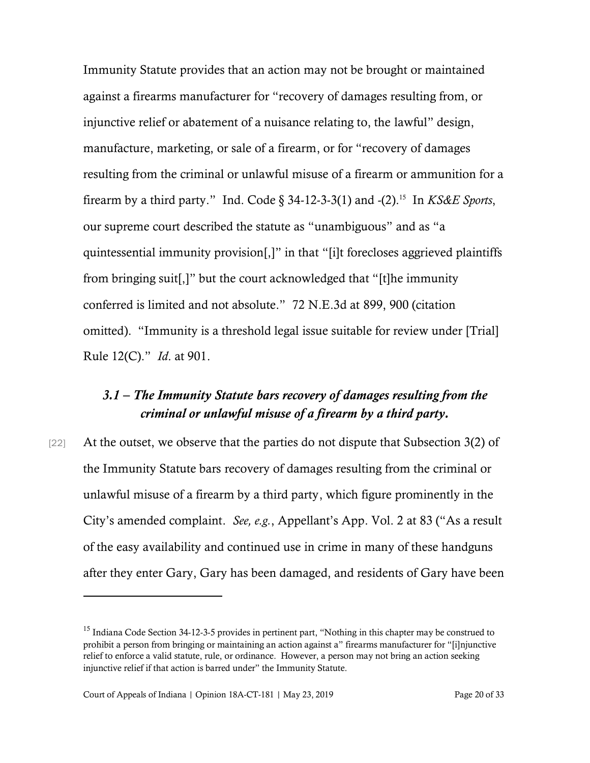Immunity Statute provides that an action may not be brought or maintained against a firearms manufacturer for "recovery of damages resulting from, or injunctive relief or abatement of a nuisance relating to, the lawful" design, manufacture, marketing, or sale of a firearm, or for "recovery of damages resulting from the criminal or unlawful misuse of a firearm or ammunition for a firearm by a third party." Ind. Code § 34-12-3-3(1) and -(2). 15 In *KS&E Sports*, our supreme court described the statute as "unambiguous" and as "a quintessential immunity provision[,]" in that "[i]t forecloses aggrieved plaintiffs from bringing suit[,]" but the court acknowledged that "[t]he immunity conferred is limited and not absolute." 72 N.E.3d at 899, 900 (citation omitted). "Immunity is a threshold legal issue suitable for review under [Trial] Rule 12(C)." *Id*. at 901.

#### *3.1 – The Immunity Statute bars recovery of damages resulting from the criminal or unlawful misuse of a firearm by a third party.*

[22] At the outset, we observe that the parties do not dispute that Subsection 3(2) of the Immunity Statute bars recovery of damages resulting from the criminal or unlawful misuse of a firearm by a third party, which figure prominently in the City's amended complaint. *See, e.g.*, Appellant's App. Vol. 2 at 83 ("As a result of the easy availability and continued use in crime in many of these handguns after they enter Gary, Gary has been damaged, and residents of Gary have been

<sup>&</sup>lt;sup>15</sup> Indiana Code Section 34-12-3-5 provides in pertinent part, "Nothing in this chapter may be construed to prohibit a person from bringing or maintaining an action against a" firearms manufacturer for "[i]njunctive relief to enforce a valid statute, rule, or ordinance. However, a person may not bring an action seeking injunctive relief if that action is barred under" the Immunity Statute.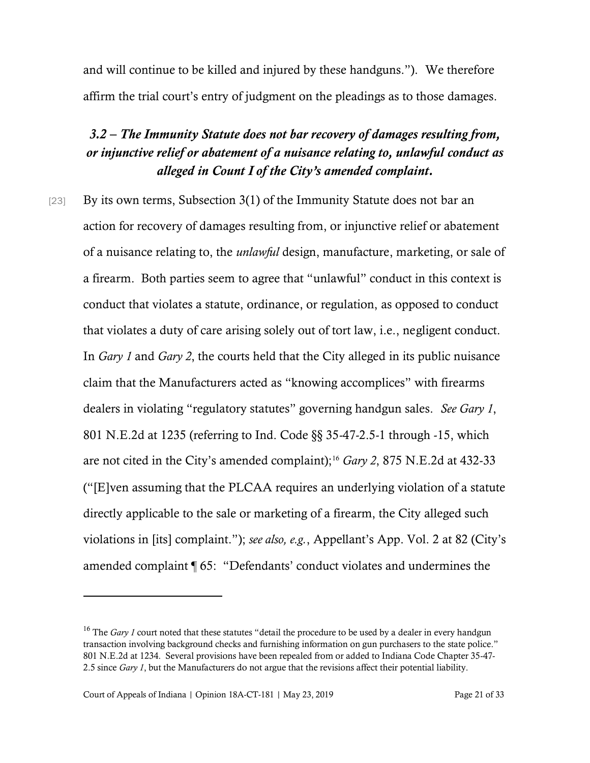and will continue to be killed and injured by these handguns."). We therefore affirm the trial court's entry of judgment on the pleadings as to those damages.

### *3.2 – The Immunity Statute does not bar recovery of damages resulting from, or injunctive relief or abatement of a nuisance relating to, unlawful conduct as alleged in Count I of the City's amended complaint.*

[23] By its own terms, Subsection 3(1) of the Immunity Statute does not bar an action for recovery of damages resulting from, or injunctive relief or abatement of a nuisance relating to, the *unlawful* design, manufacture, marketing, or sale of a firearm. Both parties seem to agree that "unlawful" conduct in this context is conduct that violates a statute, ordinance, or regulation, as opposed to conduct that violates a duty of care arising solely out of tort law, i.e., negligent conduct. In *Gary 1* and *Gary 2*, the courts held that the City alleged in its public nuisance claim that the Manufacturers acted as "knowing accomplices" with firearms dealers in violating "regulatory statutes" governing handgun sales. *See Gary 1*, 801 N.E.2d at 1235 (referring to Ind. Code §§ 35-47-2.5-1 through -15, which are not cited in the City's amended complaint);<sup>16</sup> *Gary 2*, 875 N.E.2d at 432-33 ("[E]ven assuming that the PLCAA requires an underlying violation of a statute directly applicable to the sale or marketing of a firearm, the City alleged such violations in [its] complaint."); *see also, e.g.*, Appellant's App. Vol. 2 at 82 (City's amended complaint ¶ 65: "Defendants' conduct violates and undermines the

<sup>&</sup>lt;sup>16</sup> The *Gary 1* court noted that these statutes "detail the procedure to be used by a dealer in every handgun transaction involving background checks and furnishing information on gun purchasers to the state police." 801 N.E.2d at 1234. Several provisions have been repealed from or added to Indiana Code Chapter 35-47- 2.5 since *Gary 1*, but the Manufacturers do not argue that the revisions affect their potential liability.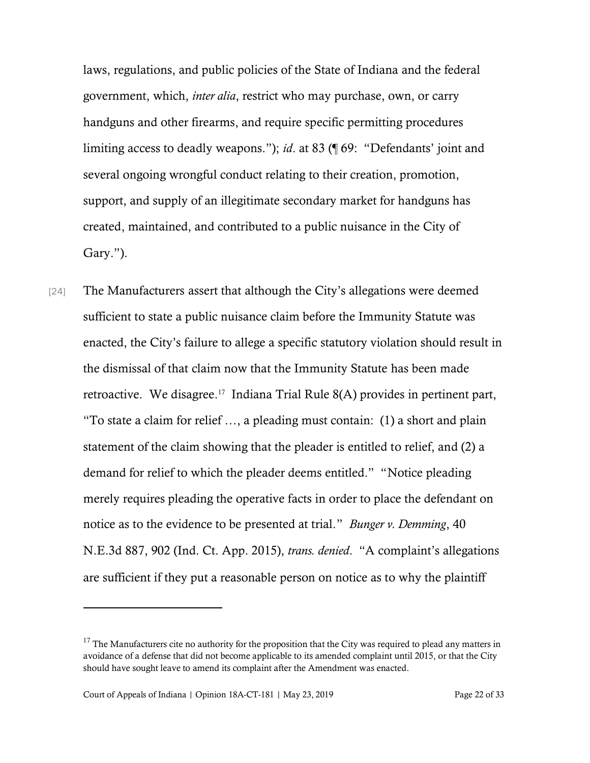laws, regulations, and public policies of the State of Indiana and the federal government, which, *inter alia*, restrict who may purchase, own, or carry handguns and other firearms, and require specific permitting procedures limiting access to deadly weapons."); *id*. at 83 (¶ 69: "Defendants' joint and several ongoing wrongful conduct relating to their creation, promotion, support, and supply of an illegitimate secondary market for handguns has created, maintained, and contributed to a public nuisance in the City of Gary.").

[24] The Manufacturers assert that although the City's allegations were deemed sufficient to state a public nuisance claim before the Immunity Statute was enacted, the City's failure to allege a specific statutory violation should result in the dismissal of that claim now that the Immunity Statute has been made retroactive. We disagree.<sup>17</sup> Indiana Trial Rule 8(A) provides in pertinent part, "To state a claim for relief …, a pleading must contain: (1) a short and plain statement of the claim showing that the pleader is entitled to relief, and (2) a demand for relief to which the pleader deems entitled." "Notice pleading merely requires pleading the operative facts in order to place the defendant on notice as to the evidence to be presented at trial." *Bunger v. Demming*, 40 N.E.3d 887, 902 (Ind. Ct. App. 2015), *trans. denied*. "A complaint's allegations are sufficient if they put a reasonable person on notice as to why the plaintiff

 $17$  The Manufacturers cite no authority for the proposition that the City was required to plead any matters in avoidance of a defense that did not become applicable to its amended complaint until 2015, or that the City should have sought leave to amend its complaint after the Amendment was enacted.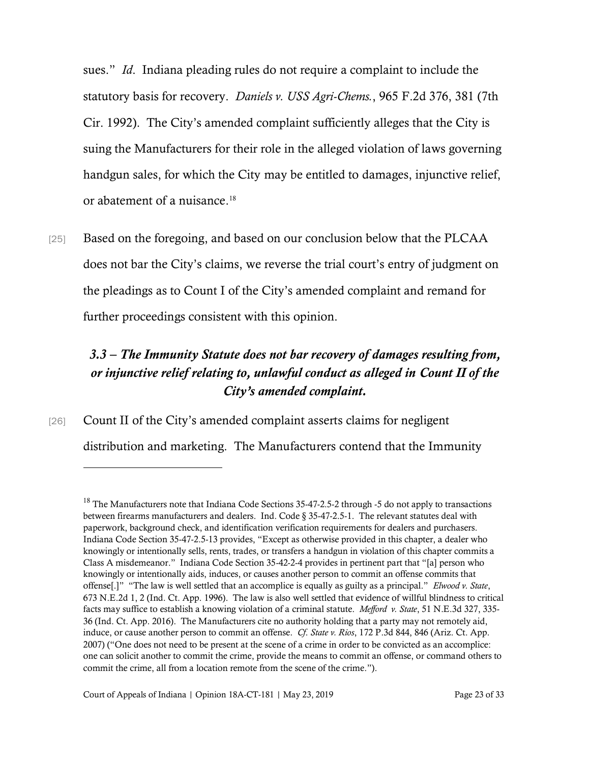sues." *Id*. Indiana pleading rules do not require a complaint to include the statutory basis for recovery. *Daniels v. USS Agri-Chems.*, 965 F.2d 376, 381 (7th Cir. 1992). The City's amended complaint sufficiently alleges that the City is suing the Manufacturers for their role in the alleged violation of laws governing handgun sales, for which the City may be entitled to damages, injunctive relief, or abatement of a nuisance. 18

[25] Based on the foregoing, and based on our conclusion below that the PLCAA does not bar the City's claims, we reverse the trial court's entry of judgment on the pleadings as to Count I of the City's amended complaint and remand for further proceedings consistent with this opinion.

### *3.3 – The Immunity Statute does not bar recovery of damages resulting from, or injunctive relief relating to, unlawful conduct as alleged in Count II of the City's amended complaint.*

[26] Count II of the City's amended complaint asserts claims for negligent distribution and marketing. The Manufacturers contend that the Immunity

 $18$  The Manufacturers note that Indiana Code Sections 35-47-2.5-2 through -5 do not apply to transactions between firearms manufacturers and dealers. Ind. Code § 35-47-2.5-1. The relevant statutes deal with paperwork, background check, and identification verification requirements for dealers and purchasers. Indiana Code Section 35-47-2.5-13 provides, "Except as otherwise provided in this chapter, a dealer who knowingly or intentionally sells, rents, trades, or transfers a handgun in violation of this chapter commits a Class A misdemeanor." Indiana Code Section 35-42-2-4 provides in pertinent part that "[a] person who knowingly or intentionally aids, induces, or causes another person to commit an offense commits that offense[.]" "The law is well settled that an accomplice is equally as guilty as a principal." *Elwood v. State*, 673 N.E.2d 1, 2 (Ind. Ct. App. 1996). The law is also well settled that evidence of willful blindness to critical facts may suffice to establish a knowing violation of a criminal statute. *Mefford v. State*, 51 N.E.3d 327, 335- 36 (Ind. Ct. App. 2016). The Manufacturers cite no authority holding that a party may not remotely aid, induce, or cause another person to commit an offense. *Cf*. *State v. Rios*, 172 P.3d 844, 846 (Ariz. Ct. App. 2007) ("One does not need to be present at the scene of a crime in order to be convicted as an accomplice: one can solicit another to commit the crime, provide the means to commit an offense, or command others to commit the crime, all from a location remote from the scene of the crime.").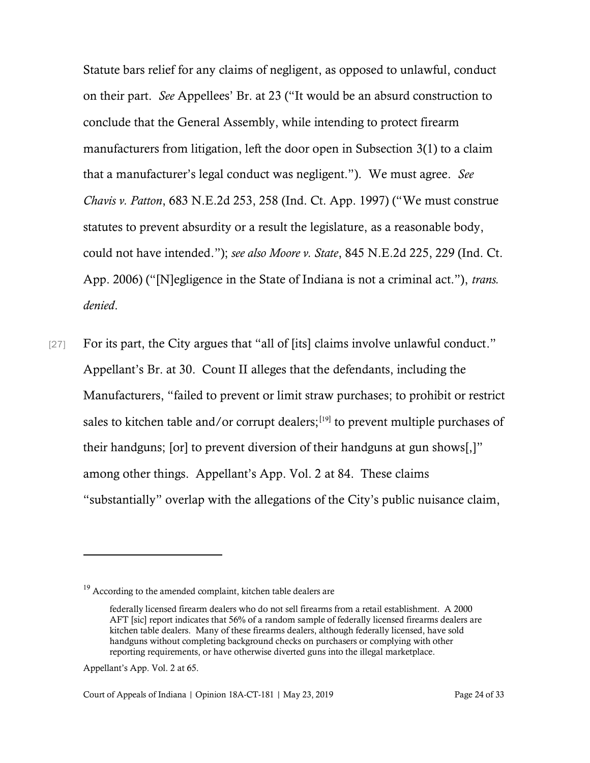Statute bars relief for any claims of negligent, as opposed to unlawful, conduct on their part. *See* Appellees' Br. at 23 ("It would be an absurd construction to conclude that the General Assembly, while intending to protect firearm manufacturers from litigation, left the door open in Subsection 3(1) to a claim that a manufacturer's legal conduct was negligent."). We must agree. *See Chavis v. Patton*, 683 N.E.2d 253, 258 (Ind. Ct. App. 1997) ("We must construe statutes to prevent absurdity or a result the legislature, as a reasonable body, could not have intended."); *see also Moore v. State*, 845 N.E.2d 225, 229 (Ind. Ct. App. 2006) ("[N]egligence in the State of Indiana is not a criminal act."), *trans. denied*.

[27] For its part, the City argues that "all of [its] claims involve unlawful conduct." Appellant's Br. at 30. Count II alleges that the defendants, including the Manufacturers, "failed to prevent or limit straw purchases; to prohibit or restrict sales to kitchen table and/or corrupt dealers; $[19]$  to prevent multiple purchases of their handguns; [or] to prevent diversion of their handguns at gun shows[,]" among other things. Appellant's App. Vol. 2 at 84. These claims "substantially" overlap with the allegations of the City's public nuisance claim,

Appellant's App. Vol. 2 at 65.

<sup>&</sup>lt;sup>19</sup> According to the amended complaint, kitchen table dealers are

federally licensed firearm dealers who do not sell firearms from a retail establishment. A 2000 AFT [sic] report indicates that 56% of a random sample of federally licensed firearms dealers are kitchen table dealers. Many of these firearms dealers, although federally licensed, have sold handguns without completing background checks on purchasers or complying with other reporting requirements, or have otherwise diverted guns into the illegal marketplace.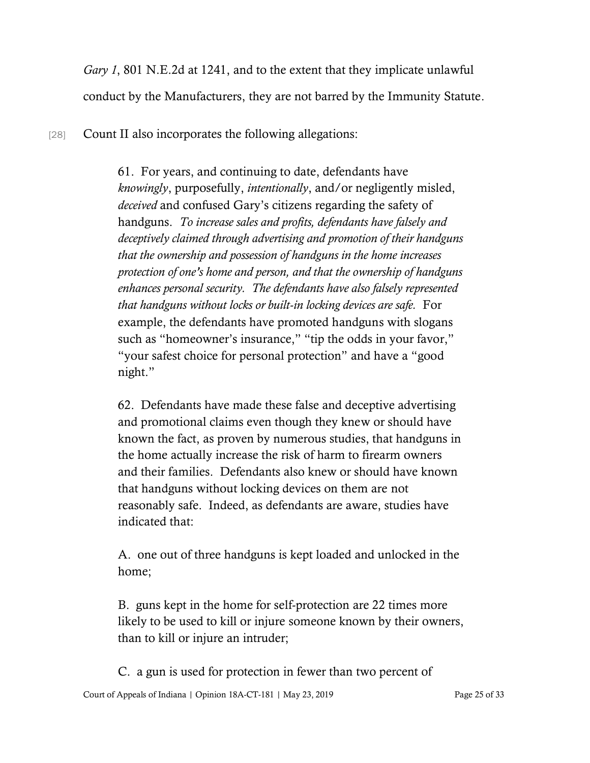*Gary 1*, 801 N.E.2d at 1241, and to the extent that they implicate unlawful conduct by the Manufacturers, they are not barred by the Immunity Statute.

[28] Count II also incorporates the following allegations:

61. For years, and continuing to date, defendants have *knowingly*, purposefully, *intentionally*, and/or negligently misled, *deceived* and confused Gary's citizens regarding the safety of handguns. *To increase sales and profits, defendants have falsely and deceptively claimed through advertising and promotion of their handguns that the ownership and possession of handguns in the home increases protection of one's home and person, and that the ownership of handguns enhances personal security. The defendants have also falsely represented that handguns without locks or built-in locking devices are safe.* For example, the defendants have promoted handguns with slogans such as "homeowner's insurance," "tip the odds in your favor," "your safest choice for personal protection" and have a "good night."

62. Defendants have made these false and deceptive advertising and promotional claims even though they knew or should have known the fact, as proven by numerous studies, that handguns in the home actually increase the risk of harm to firearm owners and their families. Defendants also knew or should have known that handguns without locking devices on them are not reasonably safe. Indeed, as defendants are aware, studies have indicated that:

A. one out of three handguns is kept loaded and unlocked in the home;

B. guns kept in the home for self-protection are 22 times more likely to be used to kill or injure someone known by their owners, than to kill or injure an intruder;

C. a gun is used for protection in fewer than two percent of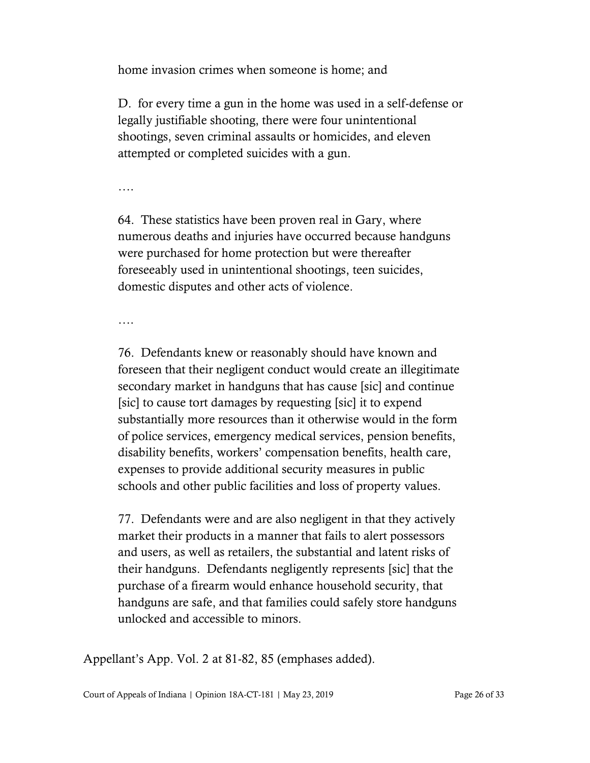home invasion crimes when someone is home; and

D. for every time a gun in the home was used in a self-defense or legally justifiable shooting, there were four unintentional shootings, seven criminal assaults or homicides, and eleven attempted or completed suicides with a gun.

….

64. These statistics have been proven real in Gary, where numerous deaths and injuries have occurred because handguns were purchased for home protection but were thereafter foreseeably used in unintentional shootings, teen suicides, domestic disputes and other acts of violence.

….

76. Defendants knew or reasonably should have known and foreseen that their negligent conduct would create an illegitimate secondary market in handguns that has cause [sic] and continue [sic] to cause tort damages by requesting [sic] it to expend substantially more resources than it otherwise would in the form of police services, emergency medical services, pension benefits, disability benefits, workers' compensation benefits, health care, expenses to provide additional security measures in public schools and other public facilities and loss of property values.

77. Defendants were and are also negligent in that they actively market their products in a manner that fails to alert possessors and users, as well as retailers, the substantial and latent risks of their handguns. Defendants negligently represents [sic] that the purchase of a firearm would enhance household security, that handguns are safe, and that families could safely store handguns unlocked and accessible to minors.

Appellant's App. Vol. 2 at 81-82, 85 (emphases added).

Court of Appeals of Indiana | Opinion 18A-CT-181 | May 23, 2019 Page 26 of 33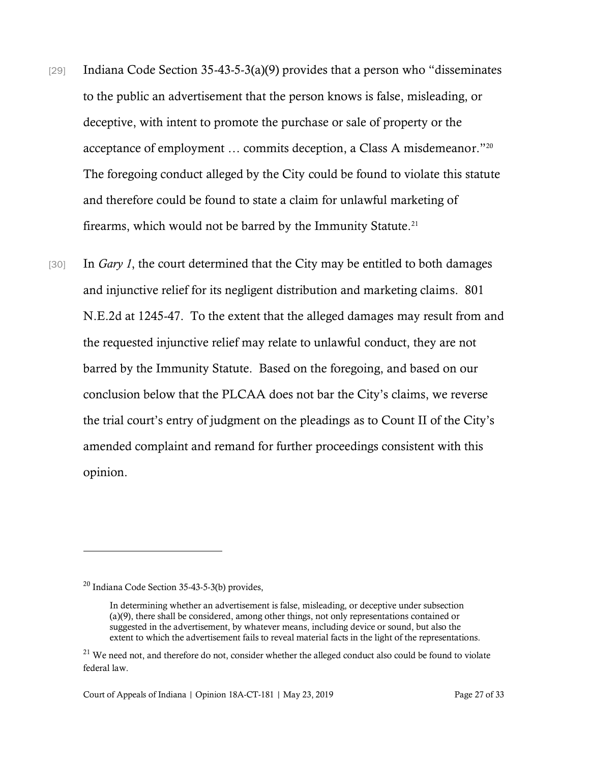- [29] Indiana Code Section 35-43-5-3(a)(9) provides that a person who "disseminates to the public an advertisement that the person knows is false, misleading, or deceptive, with intent to promote the purchase or sale of property or the acceptance of employment … commits deception, a Class A misdemeanor." 20 The foregoing conduct alleged by the City could be found to violate this statute and therefore could be found to state a claim for unlawful marketing of firearms, which would not be barred by the Immunity Statute. $21$
- [30] In *Gary 1*, the court determined that the City may be entitled to both damages and injunctive relief for its negligent distribution and marketing claims. 801 N.E.2d at 1245-47. To the extent that the alleged damages may result from and the requested injunctive relief may relate to unlawful conduct, they are not barred by the Immunity Statute. Based on the foregoing, and based on our conclusion below that the PLCAA does not bar the City's claims, we reverse the trial court's entry of judgment on the pleadings as to Count II of the City's amended complaint and remand for further proceedings consistent with this opinion.

<sup>20</sup> Indiana Code Section 35-43-5-3(b) provides,

In determining whether an advertisement is false, misleading, or deceptive under subsection (a)(9), there shall be considered, among other things, not only representations contained or suggested in the advertisement, by whatever means, including device or sound, but also the extent to which the advertisement fails to reveal material facts in the light of the representations.

 $21$  We need not, and therefore do not, consider whether the alleged conduct also could be found to violate federal law.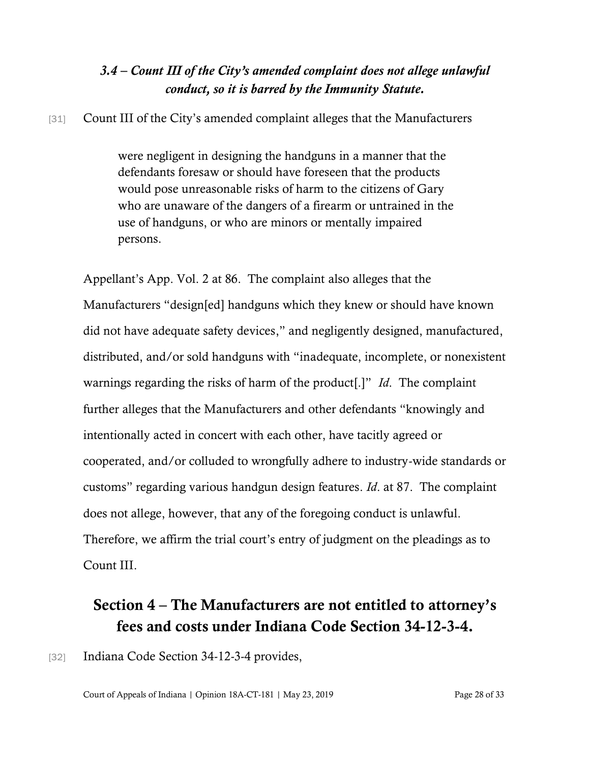#### *3.4 – Count III of the City's amended complaint does not allege unlawful conduct, so it is barred by the Immunity Statute.*

#### [31] Count III of the City's amended complaint alleges that the Manufacturers

were negligent in designing the handguns in a manner that the defendants foresaw or should have foreseen that the products would pose unreasonable risks of harm to the citizens of Gary who are unaware of the dangers of a firearm or untrained in the use of handguns, or who are minors or mentally impaired persons.

Appellant's App. Vol. 2 at 86. The complaint also alleges that the Manufacturers "design[ed] handguns which they knew or should have known did not have adequate safety devices," and negligently designed, manufactured, distributed, and/or sold handguns with "inadequate, incomplete, or nonexistent warnings regarding the risks of harm of the product[.]" *Id*. The complaint further alleges that the Manufacturers and other defendants "knowingly and intentionally acted in concert with each other, have tacitly agreed or cooperated, and/or colluded to wrongfully adhere to industry-wide standards or customs" regarding various handgun design features. *Id*. at 87. The complaint does not allege, however, that any of the foregoing conduct is unlawful. Therefore, we affirm the trial court's entry of judgment on the pleadings as to Count III.

### Section 4 – The Manufacturers are not entitled to attorney's fees and costs under Indiana Code Section 34-12-3-4.

[32] Indiana Code Section 34-12-3-4 provides,

Court of Appeals of Indiana | Opinion 18A-CT-181 | May 23, 2019 Page 28 of 33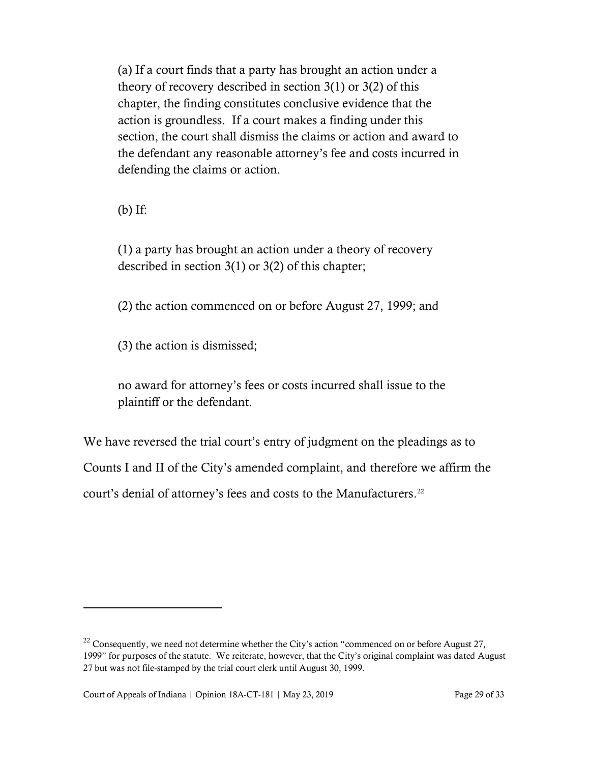(a) If a court finds that a party has brought an action under a theory of recovery described in section 3(1) or 3(2) of this chapter, the finding constitutes conclusive evidence that the action is groundless. If a court makes a finding under this section, the court shall dismiss the claims or action and award to the defendant any reasonable attorney's fee and costs incurred in defending the claims or action.

(b) If:

(1) a party has brought an action under a theory of recovery described in section 3(1) or 3(2) of this chapter;

(2) the action commenced on or before August 27, 1999; and

(3) the action is dismissed;

no award for attorney's fees or costs incurred shall issue to the plaintiff or the defendant.

We have reversed the trial court's entry of judgment on the pleadings as to Counts I and II of the City's amended complaint, and therefore we affirm the court's denial of attorney's fees and costs to the Manufacturers. 22

 $22$  Consequently, we need not determine whether the City's action "commenced on or before August 27, 1999" for purposes of the statute. We reiterate, however, that the City's original complaint was dated August 27 but was not file-stamped by the trial court clerk until August 30, 1999.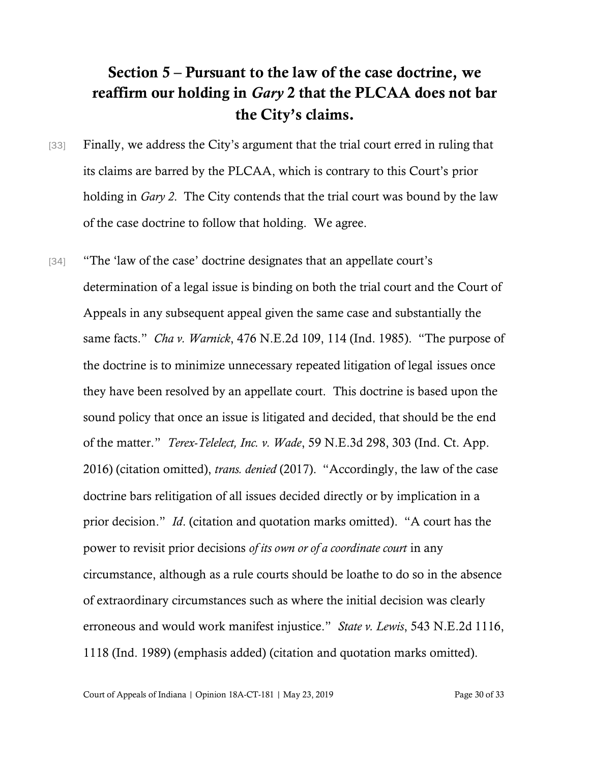# Section 5 – Pursuant to the law of the case doctrine, we reaffirm our holding in *Gary* 2 that the PLCAA does not bar the City's claims.

- [33] Finally, we address the City's argument that the trial court erred in ruling that its claims are barred by the PLCAA, which is contrary to this Court's prior holding in *Gary 2*. The City contends that the trial court was bound by the law of the case doctrine to follow that holding. We agree.
- [34] "The 'law of the case' doctrine designates that an appellate court's determination of a legal issue is binding on both the trial court and the Court of Appeals in any subsequent appeal given the same case and substantially the same facts." *Cha v. Warnick*, 476 N.E.2d 109, 114 (Ind. 1985). "The purpose of the doctrine is to minimize unnecessary repeated litigation of legal issues once they have been resolved by an appellate court. This doctrine is based upon the sound policy that once an issue is litigated and decided, that should be the end of the matter." *Terex-Telelect, Inc. v. Wade*, 59 N.E.3d 298, 303 (Ind. Ct. App. 2016) (citation omitted), *trans. denied* (2017). "Accordingly, the law of the case doctrine bars relitigation of all issues decided directly or by implication in a prior decision." *Id*. (citation and quotation marks omitted). "A court has the power to revisit prior decisions *of its own or of a coordinate court* in any circumstance, although as a rule courts should be loathe to do so in the absence of extraordinary circumstances such as where the initial decision was clearly erroneous and would work manifest injustice." *State v. Lewis*, 543 N.E.2d 1116, 1118 (Ind. 1989) (emphasis added) (citation and quotation marks omitted).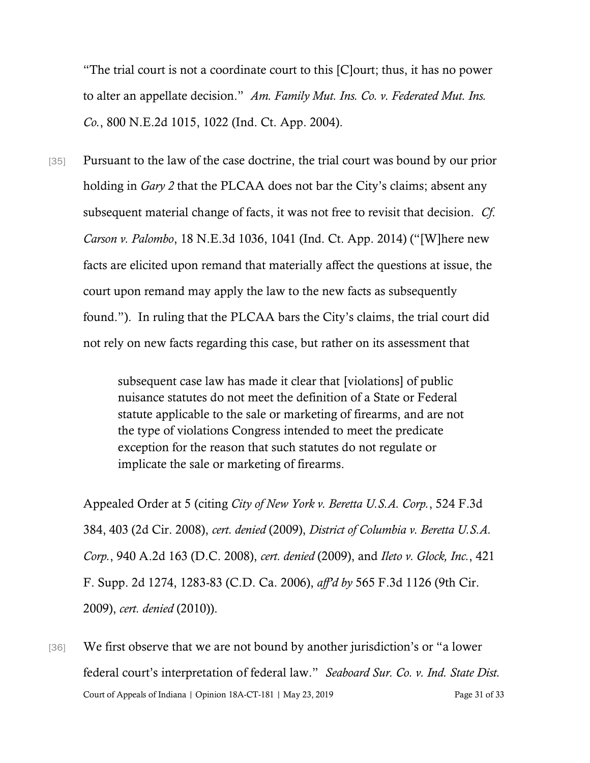"The trial court is not a coordinate court to this [C]ourt; thus, it has no power to alter an appellate decision." *Am. Family Mut. Ins. Co. v. Federated Mut. Ins. Co.*, 800 N.E.2d 1015, 1022 (Ind. Ct. App. 2004).

[35] Pursuant to the law of the case doctrine, the trial court was bound by our prior holding in *Gary 2* that the PLCAA does not bar the City's claims; absent any subsequent material change of facts, it was not free to revisit that decision. *Cf*. *Carson v. Palombo*, 18 N.E.3d 1036, 1041 (Ind. Ct. App. 2014) ("[W]here new facts are elicited upon remand that materially affect the questions at issue, the court upon remand may apply the law to the new facts as subsequently found."). In ruling that the PLCAA bars the City's claims, the trial court did not rely on new facts regarding this case, but rather on its assessment that

> subsequent case law has made it clear that [violations] of public nuisance statutes do not meet the definition of a State or Federal statute applicable to the sale or marketing of firearms, and are not the type of violations Congress intended to meet the predicate exception for the reason that such statutes do not regulate or implicate the sale or marketing of firearms.

Appealed Order at 5 (citing *City of New York v. Beretta U.S.A. Corp.*, 524 F.3d 384, 403 (2d Cir. 2008), *cert. denied* (2009), *District of Columbia v. Beretta U.S.A. Corp.*, 940 A.2d 163 (D.C. 2008), *cert. denied* (2009), and *Ileto v. Glock, Inc.*, 421 F. Supp. 2d 1274, 1283-83 (C.D. Ca. 2006), *aff'd by* 565 F.3d 1126 (9th Cir. 2009), *cert. denied* (2010)).

Court of Appeals of Indiana | Opinion 18A-CT-181 | May 23, 2019 Page 31 of 33 [36] We first observe that we are not bound by another jurisdiction's or "a lower federal court's interpretation of federal law." *Seaboard Sur. Co. v. Ind. State Dist.*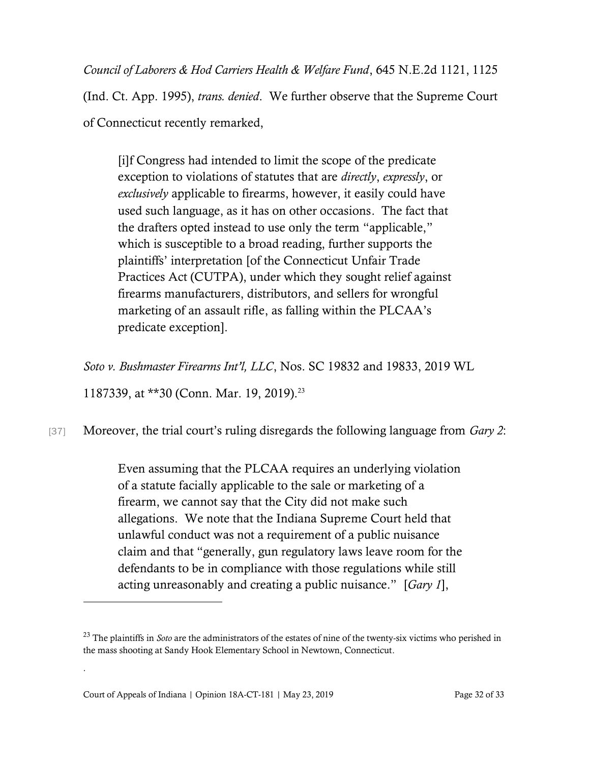*Council of Laborers & Hod Carriers Health & Welfare Fund*, 645 N.E.2d 1121, 1125

(Ind. Ct. App. 1995), *trans. denied*. We further observe that the Supreme Court of Connecticut recently remarked,

[i]f Congress had intended to limit the scope of the predicate exception to violations of statutes that are *directly*, *expressly*, or *exclusively* applicable to firearms, however, it easily could have used such language, as it has on other occasions. The fact that the drafters opted instead to use only the term "applicable," which is susceptible to a broad reading, further supports the plaintiffs' interpretation [of the Connecticut Unfair Trade Practices Act (CUTPA), under which they sought relief against firearms manufacturers, distributors, and sellers for wrongful marketing of an assault rifle, as falling within the PLCAA's predicate exception].

*Soto v. Bushmaster Firearms Int'l, LLC*, Nos. SC 19832 and 19833, 2019 WL

1187339, at \*\*30 (Conn. Mar. 19, 2019).<sup>23</sup>

[37] Moreover, the trial court's ruling disregards the following language from *Gary 2*:

Even assuming that the PLCAA requires an underlying violation of a statute facially applicable to the sale or marketing of a firearm, we cannot say that the City did not make such allegations. We note that the Indiana Supreme Court held that unlawful conduct was not a requirement of a public nuisance claim and that "generally, gun regulatory laws leave room for the defendants to be in compliance with those regulations while still acting unreasonably and creating a public nuisance." [*Gary 1*],

.

<sup>&</sup>lt;sup>23</sup> The plaintiffs in *Soto* are the administrators of the estates of nine of the twenty-six victims who perished in the mass shooting at Sandy Hook Elementary School in Newtown, Connecticut.